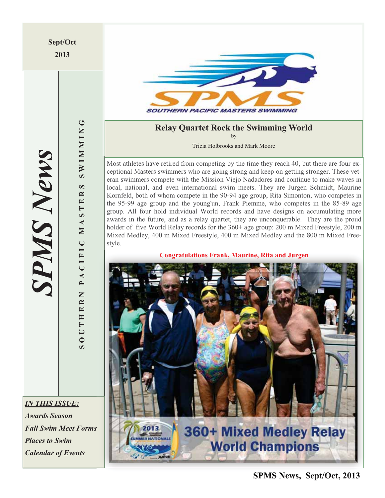**Sept/Oct 2013** 

*SPMS News*

**SPMS News** 

**SOUTHERN PACIFIC MASTERS SWIMMING**

PACIFIC MASTER

SOUTHERN

**SWIMMING** 

 $\boldsymbol{\omega}$ 





## **Relay Quartet Rock the Swimming World by**

Tricia Holbrooks and Mark Moore

Most athletes have retired from competing by the time they reach 40, but there are four exceptional Masters swimmers who are going strong and keep on getting stronger. These veteran swimmers compete with the Mission Viejo Nadadores and continue to make waves in local, national, and even international swim meets. They are Jurgen Schmidt, Maurine Kornfeld, both of whom compete in the 90-94 age group, Rita Simonton, who competes in the 95-99 age group and the young'un, Frank Piemme, who competes in the 85-89 age group. All four hold individual World records and have designs on accumulating more awards in the future, and as a relay quartet, they are unconquerable. They are the proud holder of five World Relay records for the 360+ age group: 200 m Mixed Freestyle, 200 m Mixed Medley, 400 m Mixed Freestyle, 400 m Mixed Medley and the 800 m Mixed Freestyle.

**Congratulations Frank, Maurine, Rita and Jurgen Jurgen**



**SPMS News, Sept/Oct, 2013**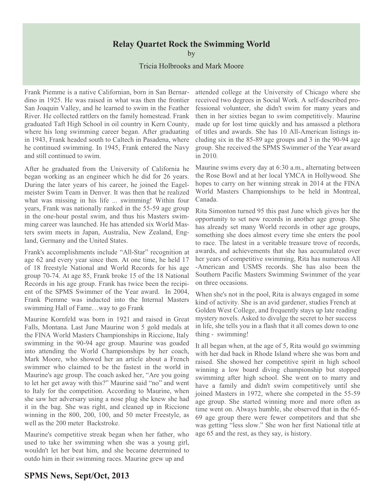## **Relay Quartet Rock the Swimming World**

by

### Tricia Holbrooks and Mark Moore

Frank Piemme is a native Californian, born in San Bernardino in 1925. He was raised in what was then the frontier San Joaquin Valley, and he learned to swim in the Feather River. He collected rattlers on the family homestead. Frank graduated Taft High School in oil country in Kern County, where his long swimming career began. After graduating in 1943, Frank headed south to Caltech in Pasadena, where he continued swimming. In 1945, Frank entered the Navy and still continued to swim.

After he graduated from the University of California he began working as an engineer which he did for 26 years. During the later years of his career, he joined the Eagelmeister Swim Team in Denver. It was then that he realized what was missing in his life ... swimming! Within four years, Frank was nationally ranked in the 55-59 age group in the one-hour postal swim, and thus his Masters swimming career was launched. He has attended six World Masters swim meets in Japan, Australia, New Zealand, England, Germany and the United States.

Frank's accomplishments include "All-Star" recognition at age 62 and every year since then. At one time, he held 17 of 18 freestyle National and World Records for his age group 70-74. At age 85, Frank broke 15 of the 18 National Records in his age group. Frank has twice been the recipient of the SPMS Swimmer of the Year award. In 2004, Frank Piemme was inducted into the Internal Masters swimming Hall of Fame…way to go Frank

Maurine Kornfeld was born in 1921 and raised in Great Falls, Montana. Last June Maurine won 5 gold medals at the FINA World Masters Championships in Riccione, Italy swimming in the 90-94 age group. Maurine was goaded into attending the World Championships by her coach, Mark Moore, who showed her an article about a French swimmer who claimed to be the fastest in the world in Maurine's age group. The coach asked her, "Are you going to let her get away with this?" Maurine said "no" and went to Italy for the competition. According to Maurine, when she saw her adversary using a nose plug she knew she had it in the bag. She was right, and cleaned up in Riccione winning in the 800, 200, 100, and 50 meter Freestyle, as well as the 200 meter Backstroke.

Maurine's competitive streak began when her father, who used to take her swimming when she was a young girl, wouldn't let her beat him, and she became determined to outdo him in their swimming races. Maurine grew up and

attended college at the University of Chicago where she received two degrees in Social Work. A self-described professional volunteer, she didn't swim for many years and then in her sixties began to swim competitively. Maurine made up for lost time quickly and has amassed a plethora of titles and awards. She has 10 All-American listings including six in the 85-89 age groups and 3 in the 90-94 age group. She received the SPMS Swimmer of the Year award in 2010.

Maurine swims every day at 6:30 a.m., alternating between the Rose Bowl and at her local YMCA in Hollywood. She hopes to carry on her winning streak in 2014 at the FINA World Masters Championships to be held in Montreal, Canada.

Rita Simonton turned 95 this past June which gives her the opportunity to set new records in another age group. She has already set many World records in other age groups, something she does almost every time she enters the pool to race. The latest in a veritable treasure trove of records, awards, and achievements that she has accumulated over her years of competitive swimming, Rita has numerous All -American and USMS records. She has also been the Southern Pacific Masters Swimming Swimmer of the year on three occasions.

When she's not in the pool, Rita is always engaged in some kind of activity. She is an avid gardener, studies French at Golden West College, and frequently stays up late reading mystery novels. Asked to divulge the secret to her success in life, she tells you in a flash that it all comes down to one thing - swimming!

It all began when, at the age of 5, Rita would go swimming with her dad back in Rhode Island where she was born and raised. She showed her competitive spirit in high school winning a low board diving championship but stopped swimming after high school. She went on to marry and have a family and didn't swim competitively until she joined Masters in 1972, where she competed in the 55-59 age group. She started winning more and more often as time went on. Always humble, she observed that in the 65- 69 age group there were fewer competitors and that she was getting "less slow." She won her first National title at age 65 and the rest, as they say, is history.

## **SPMS News, Sept/Oct, 2013**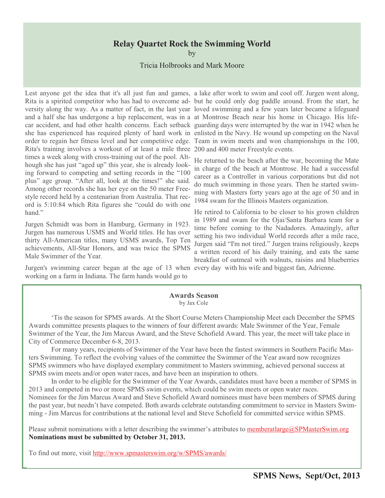## **Relay Quartet Rock the Swimming World**

by

### Tricia Holbrooks and Mark Moore

and a half she has undergone a hip replacement, was in a at Montrose Beach near his home in Chicago. His life-Rita's training involves a workout of at least a mile three 200 and 400 meter Freestyle events. times a week along with cross-training out of the pool. Although she has just "aged up" this year, she is already looking forward to competing and setting records in the "100 plus" age group. "After all, look at the times!" she said. Among other records she has her eye on the 50 meter Freestyle record held by a centenarian from Australia. That record is 5:10:84 which Rita figures she "could do with one hand."

Jurgen Schmidt was born in Hamburg, Germany in 1923. Jurgen has numerous USMS and World titles. He has over thirty All-American titles, many USMS awards, Top Ten achievements, All-Star Honors, and was twice the SPMS Male Swimmer of the Year.

Jurgen's swimming career began at the age of 13 when every day with his wife and biggest fan, Adrienne. working on a farm in Indiana. The farm hands would go to

Lest anyone get the idea that it's all just fun and games, a lake after work to swim and cool off. Jurgen went along, Rita is a spirited competitor who has had to overcome ad-but he could only dog paddle around. From the start, he versity along the way. As a matter of fact, in the last year loved swimming and a few years later became a lifeguard car accident, and had other health concerns. Each setback guarding days were interrupted by the war in 1942 when he she has experienced has required plenty of hard work in enlisted in the Navy. He wound up competing on the Naval order to regain her fitness level and her competitive edge. Team in swim meets and won championships in the 100,

> He returned to the beach after the war, becoming the Mate in charge of the beach at Montrose. He had a successful career as a Controller in various corporations but did not do much swimming in those years. Then he started swimming with Masters forty years ago at the age of 50 and in 1984 swam for the Illinois Masters organization.

> He retired to California to be closer to his grown children in 1989 and swam for the Ojai/Santa Barbara team for a time before coming to the Nadadores. Amazingly, after setting his two individual World records after a mile race, Jurgen said "I'm not tired." Jurgen trains religiously, keeps a written record of his daily training, and eats the same breakfast of oatmeal with walnuts, raisins and blueberries

#### **Awards Season** by Jax Cole

 'Tis the season for SPMS awards. At the Short Course Meters Championship Meet each December the SPMS Awards committee presents plaques to the winners of four different awards: Male Swimmer of the Year, Female Swimmer of the Year, the Jim Marcus Award, and the Steve Schofield Award. This year, the meet will take place in City of Commerce December 6-8, 2013.

 For many years, recipients of Swimmer of the Year have been the fastest swimmers in Southern Pacific Masters Swimming. To reflect the evolving values of the committee the Swimmer of the Year award now recognizes SPMS swimmers who have displayed exemplary commitment to Masters swimming, achieved personal success at SPMS swim meets and/or open water races, and have been an inspiration to others.

 In order to be eligible for the Swimmer of the Year Awards, candidates must have been a member of SPMS in 2013 and competed in two or more SPMS swim events, which could be swim meets or open water races. Nominees for the Jim Marcus Award and Steve Schofield Award nominees must have been members of SPMS during the past year, but needn't have competed. Both awards celebrate outstanding commitment to service in Masters Swimming - Jim Marcus for contributions at the national level and Steve Schofield for committed service within SPMS.

Please submit nominations with a letter describing the swimmer's attributes to memberatlarge@SPMasterSwim.org **Nominations must be submitted by October 31, 2013.**

To find out more, visit http://www.spmasterswim.org/w/SPMS/awards/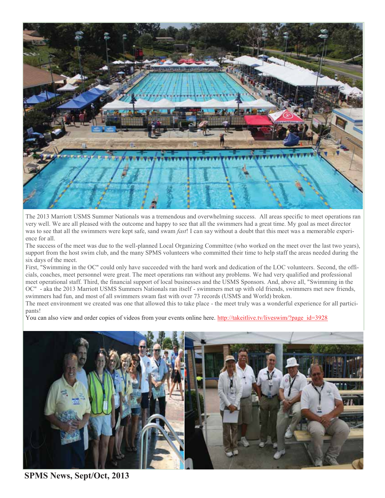

The 2013 Marriott USMS Summer Nationals was a tremendous and overwhelming success. All areas specific to meet operations ran very well. We are all pleased with the outcome and happy to see that all the swimmers had a great time. My goal as meet director was to see that all the swimmers were kept safe, sand swam *fast*! I can say without a doubt that this meet was a memorable experience for all.

The success of the meet was due to the well-planned Local Organizing Committee (who worked on the meet over the last two years), support from the host swim club, and the many SPMS volunteers who committed their time to help staff the areas needed during the six days of the meet.

First, "Swimming in the OC" could only have succeeded with the hard work and dedication of the LOC volunteers. Second, the officials, coaches, meet personnel were great. The meet operations ran without any problems. We had very qualified and professional meet operational staff. Third, the financial support of local businesses and the USMS Sponsors. And, above all, "Swimming in the OC" - aka the 2013 Marriott USMS Summers Nationals ran itself - swimmers met up with old friends, swimmers met new friends, swimmers had fun, and most of all swimmers swam fast with over 73 records (USMS and World) broken.

The meet environment we created was one that allowed this to take place - the meet truly was a wonderful experience for all participants!

You can also view and order copies of videos from your events online here. http://takeitlive.tv/liveswim/?page\_id=3928



**SPMS News, Sept/Oct, 2013**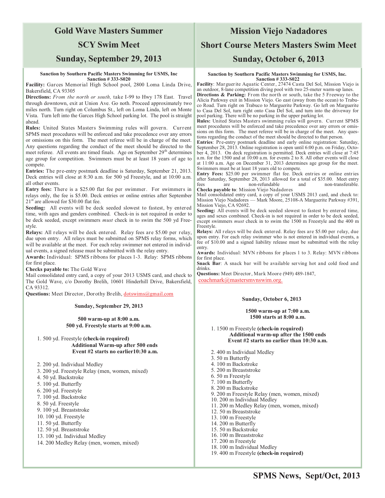## **Gold Wave Masters Summer**

## **SCY Swim Meet**

## **Sunday, September 29, 2013**

#### **Sanction by Southern Pacific Masters Swimming for USMS, Inc Sanction # 333-S020**

**Facility:** Garces Memorial High School pool, 2800 Loma Linda Drive, Bakersfield, CA 93305

**Directions:** *From the north or south,* take I-99 to Hwy 178 East. Travel through downtown, exit at Union Ave. Go noth. Proceed approximately two miles north. Turn right on Columbus St., left on Loma Linda, left on Monte Vista. Turn left into the Garces High School parking lot. The pool is straight ahead.

**Rules:** United States Masters Swimming rules will govern. Current SPMS meet procedures will be enforced and take precedence over any errors or omissions on this form. The meet referee will be in charge of the meet. Any questions regarding the conduct of the meet should be directed to the meet referee. All events are timed finals. Age on September 29<sup>th</sup> determines age group for competition. Swimmers must be at least 18 years of age to compete.

**Entries:** The pre-entry postmark deadline is Saturday, September 21, 2013. Deck entries will close at 8:30 a.m. for 500 yd Freestyle, and at 10:00 a.m. all other events.

**Entry fees:** There is a \$25.00 flat fee per swimmer. For swimmers in relays only, the fee is \$5.00. Deck entries or online entries after September  $21<sup>st</sup>$  are allowed for \$30.00 flat fee.

**Seeding:** All events will be deck seeded slowest to fastest, by entered time, with ages and genders combined. Check-in is not required in order to be deck seeded, except swimmers *must* check in to swim the 500 yd Freestyle.

**Relays:** All relays will be deck entered. Relay fees are \$5.00 per relay, due upon entry. All relays must be submitted on SPMS relay forms, which will be available at the meet. For each relay swimmer not entered in individual events, a signed release must be submitted with the relay entry.

**Awards:** Individual: SPMS ribbons for places 1-3. Relay: SPMS ribbons for first place.

**Checks payable to:** The Gold Wave

Mail consolidated entry card, a copy of your 2013 USMS card, and check to The Gold Wave, c/o Dorothy Brelih, 10601 Hinderhill Drive, Bakersfield, CA 93312.

Questions: Meet Director, Dorothy Brelih, dotswims@gmail.com

**Sunday, September 29, 2013** 

#### **500 warm-up at 8:00 a.m. 500 yd. Freestyle starts at 9:00 a.m.**

1. 500 yd. Freestyle **(check-in required)** 

**Additional Warm-up after 500 ends Event #2 starts no earlier10:30 a.m.** 

- 2. 200 yd. Individual Medley
- 3. 200 yd. Freestyle Relay (men, women, mixed)
- 4. 50 yd. Backstroke
- 5. 100 yd. Butterfly
- 6. 200 yd. Freestyle
- 7. 100 yd. Backstroke
- 8. 50 yd. Freestyle
- 9. 100 yd. Breaststroke
- 10. 100 yd. Freestyle
- 11. 50 yd. Butterfly
- 12. 50 yd. Breaststroke
- 13. 100 yd. Individual Medley
- 14. 200 Medley Relay (men, women, mixed)

## **Mission Viejo Nadadores Short Course Meters Masters Swim Meet Sunday, October 6, 2013**

#### **Sanction by Southern Pacific Masters Swimming for USMS, Inc. Sanction # 333-S022**

**Facility**: Marguerite Aquatic Center, 27474 Casta Del Sol, Mission Viejo is an outdoor, 8-lane competition diving pool with two 25-meter warm-up lanes.

**Directions & Parking:** From the north or south, take the 5 Freeway to the Alicia Parkway exit in Mission Viejo. Go east (away from the ocean) to Trabuco Road. Turn right on Trabuco to Marguerite Parkway. Go left on Marguerite to Casa Del Sol, turn right onto Casa Del Sol, and turn into the driveway for pool parking. There will be no parking in the upper parking lot.

**Rules:** United States Masters swimming rules will govern. Current SPMS meet procedures will be enforced and take precedence over any errors or omissions on this form. The meet referee will be in charge of the meet. Any questions regarding the conduct of the meet should be directed to that person.

**Entries**: Pre-entry postmark deadline and early online registration: Saturday, September 28, 2013. Online registration is open until 6:00 p.m. on Friday, October 4, 2013. On deck registration is permitted. Deck entries will close at 7:45 a.m. for the 1500 and at 10:00 a.m. for events 2 to 8. All other events will close at 11:00 a.m. Age on December 31, 2013 determines age group for the meet. Swimmers must be at least 18 years old to compete.

**Entry Fees:** \$25.00 per swimmer flat fee. Deck entries or online entries after Saturday, September 28, 2013 allowed for a total of \$35.00. Meet entry<br>fees are non-refundable and non-transferable. are non-refundable

**Checks payable to**: Mission Viejo Nadadores

Mail consolidated entry card, a copy of your USMS 2013 card, and check to: Mission Viejo Nadadores — Mark Moore, 25108-A Marguerite Parkway #391, Mission Viejo, CA 92692.

**Seeding:** All events will be deck seeded slowest to fastest by entered time, ages and sexes combined. Check-in is not required in order to be deck seeded, except swimmers *must* check in to swim the 1500 m Freestyle and the 400 m Freestyle.

**Relays:** All relays will be deck entered. Relay fees are \$5.00 per relay, due upon entry. For each relay swimmer who is not entered in individual events, a fee of \$10.00 and a signed liability release must be submitted with the relay entry.

**Awards:** Individual: MVN ribbons for places 1 to 3. Relay: MVN ribbons for first place.

**Snack Bar**: A snack bar will be available serving hot and cold food and drinks.

**Questions:** Meet Director, Mark Moore (949) 489-1847, coachmark@mastersmvnswim.org.

#### **Sunday, October 6, 2013**

**1500 warm-up at 7:00 a.m. 1500 starts at 8:00 a.m.** 

1. 1500 m Freestyle **(check-in required) Additional warm-up after the 1500 ends Event #2 starts no earlier than 10:30 a.m.** 

- 2. 400 m Individual Medley 3. 50 m Butterfly 4. 100 m Backstroke 5. 200 m Breaststroke 6. 50 m Freestyle 7. 100 m Butterfly 8. 200 m Backstroke 9. 200 m Freestyle Relay (men, women, mixed) 10. 200 m Individual Medley 11. 200 m Medley Relay (men, women, mixed) 12. 50 m Breaststroke 13. 100 m Freestyle 14. 200 m Butterfly 15. 50 m Backstroke
- 16. 100 m Breaststroke
- 17. 200 m Freestyle
- 18. 100 m Individual Medley
- 19. 400 m Freestyle **(check-in required)**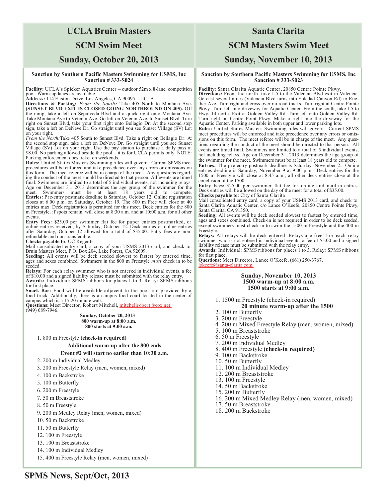## **UCLA Bruin Masters**

## **SCM Swim Meet**

## **Sunday, October 20, 2013**

#### **Sanction by Southern Pacific Masters Swimming for USMS, Inc Sanction # 333-S024**

**Facility:** UCLA's Spieker Aquatics Center – outdoor 52m x 8-lane, competition pool. Warm-up lanes are available.

**Address:** 114 Easton Drive, Los Angeles, CA 90095 – UCLA

**Directions & Parking:** *From the South:* Take 405 North to Montana Ave**. (SUNSET BLVD EXIT IS CLOSED GOING NORTHBOUND ON 405).** Off the ramp, take a left on Sepulveda Blvd and a quick right onto Montana Ave. Take Montana Ave to Veteran Ave. Go left on Veteran Ave. to Sunset Blvd. Turn right on Sunset Blvd, take your first right onto Bellagio Dr. At the second stop sign, take a left on DeNeve Dr. Go straight until you see Sunset Village (SV) Lot on your right.

From the North: Take 405 South to Sunset Blvd. Take a right on Bellagio Dr. At the second stop sign, take a left on DeNeve Dr. Go straight until you see Sunset Village (SV) Lot on your right. Use the pay station to purchas \$8.00. No parking allowed beside the pool – it is for UCLA permits only. NOTE: Parking enforcement does ticket on weekends.

**Rules:** United States Masters Swimming rules will govern. Current SPMS meet procedures will be enforced and take precedence over any errors or omissions on this form. The meet referee will be in charge of the meet. Any questions regarding the conduct of the meet should be directed to that person. All events are timed final. Swimmers are limited to a total of 5 individual events, not including relays. Age on December 31, 2013 determines the age group of the swimmer for the meet. Swimmers must be at least 18 years old to compete. Free Commercial Commercial Commercial Commercial Commercial Commercial Commercial Commercial Commercial Commercial Commercial Commercial Commercial Commercial Commercial Commercial Commercial Commercial Commercial Commerci closes at 6:00 p.m. on Saturday, October 19. The 800 m Free will close at 40 entries max. Deck registration is permitted for this meet. Deck entries for the 800 m Freestyle, if spots remain, will close at 8:30 a.m. and at 10:00 a.m. for all other events.

**Entry Fees:** \$25.00 per swimmer flat fee for paper entries postmar ked, or online entries received, by Saturday, October 12. Deck entries or online entries after Saturday, October 12 allowed for a total of \$35.00. Entry fees are nonrefundable and non-transferable.

#### **Checks payable to**: UC Regents

Mail consolidated entry card, a copy of your USMS 2013 card, and check to: Bruin Masters Meet, P.O. Box 204, Lake Forest, CA 92609.

**Seeding:** All events will be deck seeded slowest to fastest by entered time, ages and sexes combined. Swimmers in the 800 m Freestyle *must* check in to be seeded.

**Relays:** For each relay swimmer who is not entered in individual events, a fee of \$10.00 and a signed liability release must be submitted with the relay entry. **Awards:** Individual: SPMS ribbons for places 1 to 3. Relay: SPMS ribbons

for first place. Snack Bar: Food will be available adjacent to the pool and provided by a

food truck. Additionally, there is a campus food court located in the center of campus which is a  $15-20$  minute walk.

**Questions:** Meet Director, Robert Mitchell, mitchellrobert@cox.net, (949) 689-7946.

> **Sunday, October 20, 2013 800 warm-up at 8:00 a.m. 800 starts at 9:00 a.m.**

1. 800 m Freestyle **(check-in required)** 

#### **Additional warm-up after the 800 ends**

**Event #2 will start no earlier than 10:30 a.m.** 

2. 200 m Individual Medley

3. 200 m Freestyle Relay (men, women, mixed)

- 4. 100 m Backstroke
- 5. 100 m Butterfly
- 6. 200 m Freestyle
- 7. 50 m Breaststroke
- 8. 50 m Freestyle
- 9. 200 m Medley Relay (men, women, mixed)
- 10. 50 m Backstroke
- 11. 50 m Butterfly
- 12. 100 m Freestyle
- 13. 100 m Breaststroke
- 14. 100 m Individual Medley
- 15. 400 m Freestyle Relay (men, women, mixed)

## **Santa Clarita**

## **SCM Masters Swim Meet**

## **Sunday, November 10, 2013**

#### **Sanction by Southern Pacific Masters Swimming for USMS, Inc Sanction # 333-S023**

**Facility**: Santa Clarita Aquatic Center, 20850 Centre Pointe Pkwy.

**Directions:** From the north, take I-5 to the Valencia Blvd exit in Valencia. Go east several miles (Valencia Blvd turns into Soledad Canyon Rd) to Ruether Ave. Turn right and cross over railroad tracks. Turn right at Centre Pointe Pkwy. Turn left into driveway for Aquatic Center. From the south, take I-5 to Hwy. 14 north. Exit at Golden Valley Rd. Turn left onto Golden Valley Rd. Turn right on Centre Point Pkwy. Make a right into the driveway for the Aquatic Center. Parking available in both upper and lower parking lots.

**Rules:** United States Masters Swimming rules will govern. Current SPMS meet procedures will be enforced and take precedence over any errors or omissions on this form. The meet referee will be in charge of the meet. Any questions regarding the conduct of the meet should be directed to that person.All events are timed final. Swimmers are limited to a total of 5 individual events, not including relays. Age on December 31, 2013 determines the age group of the swimmer for the meet. Swimmers must be at least 18 years old to compete.

**Entries:** The pre-entry postmark deadline is Saturday, November 2. Online entries deadline is Saturday, November 9 at 9:00 p.m. Deck entries for the 1500 m Freestyle will close at 8:45 a.m.; all other deck entries close at the conclusion of the 1500.

**Entry Fees:** \$25.00 per swimmer flat fee for online and mail-in entries. Deck entries will be allowed on the day of the meet for a total of \$35.00. **Checks payable to**: City of Santa Clarita

Mail consolidated entry card, a copy of your USMS 2013 card, and check to: Santa Clarita Aquatic Center, c/o Lance O'Keefe, 20850 Centre Pointe Pkwy, Santa Clarita, CA 91350.

**Seeding:** All events will be deck seeded slowest to fastest by entered time, ages and sexes combined. Check-in is not required in order to be deck seeded, except swimmers must check in to swim the 1500 m Freestyle and the 400 m Freestyle.

**Relays:** All relays will be deck entered. Relays are free! For each relay swimmer who is not entered in individual events, a fee of \$5.00 and a signed liability release must be submitted with the relay entry.

**Awards:** Individual: SPMS ribbons for places 1 to 3. Relay: SPMS ribbons for first place

**Questions:** Meet Director, Lance O'Keefe, (661) 250-3767, lokeefe@santa-clarita.com.

#### **Sunday, November 10, 2013 1500 warm-up at 8:00 a.m. 1500 starts at 9:00 a.m.**

- 1. 1500 m Freestyle (check-in required) **20 minute warm-up after the 1500**
- 2. 100 m Butterfly
- 3. 200 m Freestyle
- 4. 200 m Mixed Freestyle Relay (men, women, mixed)
- 5. 100 m Breaststroke
- 6. 50 m Freestyle
- 7. 200 m Individual Medley
- 8. 400 m Freestyle **(check-in required)**
- 9. 100 m Backstroke
- 10. 50 m Butterfly
- 11. 100 m Individual Medley
- 12. 200 m Breaststroke
- 13. 100 m Freestyle
- 14. 50 m Backstroke
- 15. 200 m Butterfly
- 16. 200 m Mixed Medley Relay (men, women, mixed)
- 17. 50 m Breaststroke
- 18. 200 m Backstroke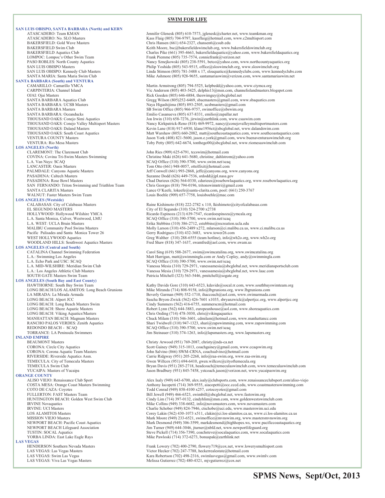# **SAN LUIS OBISPO, SANTA BARBARA (North) and KERN** BAKERSFIELD: Gold Wave Masters Chris Hansen (661) 654-2327, chansen 6@csub.edu<br>BAKERSFIELD Swim Club Chris Hansen (661) 654-2327, chansen 6@csub.edu **SANTA BARBARA (South) and VENTURA**  SANTA BARBARA: Oceanducks Emilio Casanueva (805) 637-8331, emilio@zapallar.net<br>THOUSAND OAKS: Conejo Simi Aquatics Jon Irwin (310) 658-7276, jirwin@earthlink.com, www. **LOS ANGELES (North)**  LANCASTER: Oasis Masters Tom Otto (661) 948-0057, ottolfixit@hotmail.com<br>
PALMDALE: Canyons Aquatic Masters Jeff Conwell (661) 993-2868, jeffc@canyons.org, PASADENA: Caltech Masters Suzanne Dodd (626) 449-7536, srdodd@jpl.nasa.gov<br>PASADENA: Rose Bowl Masters Subsection School Chad Durieux (626) 564-0330, cdurieux@rosebowlaq SAN FERNANDO: Triton Swimming and Triathlon Team<br>SANTA CLARITA Masters WALNUT: Faster Masters Swim Team Louis Boehle (909) 657-7758, louisboehle@mac.com **LOS ANGELES (Westside)** EL SEGUNDO MASTERS City of El Segundo (310) 524-2700 x2738<br>HOLLYWOOD: Hollywood Wilshire YMCA Ricardo Espinoza (213) 639-7547, ricardo L.A. Santa Monica, Culver, Westwood, LMU SCAQ Office (310) 390-5700, www.swim.net/scaq<br>
L.A. WEST: UCLA Bruin Masters<br>
Erika Stebbins (310) 386-2712, estebbins@recreation **LOS ANGELES (Central and South) LOS ANGELES (South Bay and East County)**  LONG BEACH: Viking Aquatics/Masters **Chris Oeding (714) 478-3030, chris@vikingaquatics**<br>MANHATTAN BEACH: Magnum Masters **Chris Chuck Milam (310) 546-3601, cdmilam@hotmail.co** REDONDO BEACH - SCAQ<br>
TORRANCE: LA Peninsula Swimmers<br>
Torrance: LA Peninsula Swimmers<br>
Scaq Office (310) 374-1263, info@lansmasters.org **INLAND EMPIRE**  BEAUMONT Masters Christy Arwood (951) 769-2087, christy@nds-ca.net<br>CORONA: Circle City Aquatics CORONA: Circle City Aquatics Coronation Coronation Scott Gainey (949) 315-1013, coachgainey@gmail.cc **ORANGE COUNTY**<br>ALISO VIEJO: Renaissance Club Sport

**LAS VEGAS**<br> **HENDERSON Southern Nevada Masters** 

#### **SWIM FOR LIFE**

ATASCADERO: Team KMAN Jennifer Glenesk (805) 610-7573, jglenesk@charter.net, www.teamkman.org<br>ATASCADERO: No. SLO Masters Kass Flaig (805) 704-9797, kassflaig@hotmail.com, www.c2multisport.com ATASCADERO: No. SLO Masters **Kass Flaig (805)** 704-9797, kassflaig@hotmail.com, www.c2multisport.com<br>BAKERSFIELD: Gold Wave Masters **Chris Hansen (661)** 654-2327, chansen6@csub.edu BAKERSFIELD Swim Club Keith Moore, bsc@bakersfieldswimclub.org, www.bakersfieldswimclub.org<br>BAKERSFIELD Aquatics Club Charles Pike (661) 395-4663, bakersfieldaquatics@yahoo.com, www.bakers BAKERSFIELD Aquatics Club Charles Pike (661) 395-4663, bakersfieldaquatics@yahoo.com, www.bakersfieldaquatics.org<br>
LOMPOC: Lompoc's Other Swim Team Frank Piemme (805) 735-7574, conniefrank@verizon.net<br>
PASO ROBLES: North C Frank Piemme (805) 735-7574, conniefrank@verizon.net PASO ROBLES: North County Aquatics Nancy Sznejkowski (805) 238-5591, betco@yahoo.com, www.northcountyaquatics.org<br>Philip Yoshida (805) 543-9515, office@sloswimclub.org, www.sloswimclub.org SAN LUIS OBISPO Masters<br>
SAN LUIS OBISPO: Kennedy Club Masters<br>
Linda Stimson (805) 781-3488 x 17, sloaquatics@kennedyclubs.com, www.kenn SAN LUIS OBISPO: Kennedy Club Masters **Linda Stimson (805)** 781-3488 x 17, sloaquatics@kennedyclubs.com, www.kennedyclubs.com<br>SANTA MARIA: Santa Maria Swim Club Mike Ashmore (805) 928-9655, santamariaswim@verizon.com, www. Mike Ashmore (805) 928-9655, santamariaswim@verizon.com, www.santamariaswim.net

Martin Armstrong (805) 794-5525, kelpbedd@yahoo.com, www.ciymca.org CARPINTERIA: Channel Island Vic Anderson (805) 403-5425, delphis13@msn.com, channelislandmasters.blogspot.com OJAI: Ojai Masters <br>
SANTA BARBARA Aquatics Club<br>
SANTA BARBARA Aquatics Club<br>
Cregg Wilson (805)252-6469, sbacmasters@gmail.com, w SANTA BARBARA Aquatics Club Gregg Wilson (805)252-6469, sbacmasters@gmail.com, www.sbaquatics.com<br>SANTA BARBARA: UCSB Masters Santa Club (805) 893-2505, ucsbmasters@gmail.com SANTA BARBARA: UCSB Masters Naya Higashijima (805) 893-2505, ucsbmasters@gmail.com<br>SANTA BARBARA Masters National SB Swim Office (805) 966-9757, swimoffice@sbswim.org SANTA BARBARA Masters SB Swim Office (805) 966-9757, swimoffice@sbswim.org<br>SANTA BARBARA: Oceanducks Service Sannueva (805) 637-8331, emilio@zapallar.net THOUSAND OAKS: Conejo Simi Aquatics Jon Irwin (310) 658-7276, jirwin@earthlink.com, www.csaswim.com<br>THOUSAND OAKS: Conejo Valley Multisport Masters Nancy Kirkpatrick-Reno (818) 469-9972, nancy@conejovalleymultisp THOUSAND OAKS: Conejo Valley Multisport Masters Nancy Kirkpatrick-Reno (818) 469-9972, nancy@conejovalleymultisportmasters.com<br>THOUSAND OAKS: Daland Masters National Revin Lane (818) 917-6930. klane1956ct@sbcglobal.net. ww THOUSAND OAKS: Daland Masters Kevin Lane (818) 917-6930, klane1956ct@sbcglobal.net, www.dalandswim.com<br>THOUSAND OAKS: Daland Masters Kevin Lane (818) 917-6930, klane1956ct@sbcglobal.net, www.dalandswim.com<br>THOUSAND OAKS: S THOUSAND OAKS: South Coast Aquatics Matt Warshaw (805) 660-2082, matt@southcoastaquatics.com, www.southcoastaquatics.com<br>VENTURA COUNTY Masters Maters Matt Marshaw Of Matt Warshaw (805) 660-2082, matt@southcoastaquatics.co VENTURA COUNTY Masters **Value 2008** Jason York (408) 821-5600, jason.e.york@gmail.com, www.buenaventuraswimclub.org<br>VENTURA: Rio Mesa Masters **Value 2009 Provide 2009** Petty (805) 642-6674, tonthego00@sbcglobal.net, www.ri Toby Petty (805) 642-6674, tonthego00@sbcglobal.net, www.riomesaswimclub.com

John Ries (909) 625-6791, tccswim@hotmail.com COVINA: Covina Tri-Swim Masters Swimming Christine Maki (626) 641-5680, christine\_dahlstrom@yahoo.com L.A. Van Nuys: SCAQ SCAQ Office (310) 390-5700, www.swim.net/scaq PALMDALE: Canyons Aquatic Masters **Face Access 1989** Jeff Conwell (661) 993-2868, jeffc@canyons.org, www.canyons.org<br>PASADENA: Caltech Masters **Jeff Conwell (661)** 993-2868, jeffc@canyons.org, www.canyons.org Chad Durieux (626) 564-0330, cdurieux@rosebowlaquatics.org, www.rosebowlaquatics.org<br>Chris Georges (818) 794-0196, tritonswimntri@gmail.com Lance O'Keefe, lokeefe@santa-clarita.com, pool: (661) 250-3767

CALABASAS: City of Calabasas Masters Raine Kishimoto (818) 222-2782 x 110, lkishimoto@cityofcalabasas.com<br>EL SEGUNDO MASTERS City of El Segundo (310) 524-2700 x2738 HOLLYWOOD: Hollywood Wilshire YMCA Ricardo Espinoza (213) 639-7547, ricardoespinoza@ymcala.org<br>
E.A. Santa Monica, Culver, Westwood, LMU SCAQ Office (310) 390-5700, www.swim.net/scaq Erika Stebbins (310) 386-2712, estebbins@recreation.ucla.edu MALIBU Community Pool Swims Masters Molly Larson (310) 456-2489 x272, mlarson@ci.malibu.ca.us, www.ci.malibu.ca.us Pacific Palisades and Santa Monica Tower 26 Gerry Rodrigues (310) 432-3683, www.tower26.com<br>WEST HOLLYWOOD Aquatics Greg Walther (310) 288-6555 (team hotline), info@wh2o.org, www.wh2o.org WOODLAND HILLS: Southwest Aquatics Masters Fred Shaw (818) 347-1637, swamfred@aol.com, www.swam.us

CATALINA Channel Swimming Federation Carol Sing (619) 588-2677, swim@swimcatalina.org, www.swimcatalina.org<br>
L.A.: Swimming Los Angeles Matt Harrigan, matt@swimmingla.com or Andy Copley, andy@swimmingla. L.A.: Swimming Los Angeles (and the Matt Harrigan, matt@swimmingla.com or Andy Copley, andy@swimmingla.com or<br>L.A. Echo Park and USC: SCAQ (and the SCAQ Office (310) 390-5700, www.swim.net/scaq L.A. MID-WILSHIRE: Meridian Swim Club Vanessa Mesia (310) 729-2971, vanessamesia@sbcglobal.net, www.meridiansportsclub.com<br>L.A.: Los Angeles Athletic Club Masters Vanessamesia (310) 729-2971, vanessamesia@sbcglobal.net, ww L.A.: Los Angeles Athletic Club Masters Vanessa Mesia (310) 729-2971, vanessamesia@sbcglobal.net, www.laac.com Patricia Mitchell (323) 563-5446, pmitchell@sogate.org

HAWTHORNE: South Bay Swim Team (Figure 2011) Kathy Davids Gore (310) 643-6523, kdavids@socal.rr.com, www.southbayswimteam.org<br>
Mike Miranda (714) 808-9158, info@lbgrunions.org, www.lbgrunions.com Mike Miranda (714) 808-9158, info@lbgrunions.org, www.lbgrunions.com LA MIRADA: La Mirada Armada Beverly Garman (949) 552-1710, ihaccoach@aol.com, www.swimarmada.com LONG BEACH: Alpert JCC Sascha Bryon-Zwick (562) 426-7601 x1035, sbryanzwick@alpertjcc.org, www.alpertjcc.org<br>
LONG BEACH: Long Beach Masters Swim Cindy Summers (562) 416-6755, summerscm@hotmail.com LONG BEACH: Long Beach Masters Swim Cindy Summers (562) 416-6755, summerscm@hotmail.com<br>LONG BEACH: Shore Aquatic Masters **Example 2006** Robert Lynn (562) 416-6755, summerscm@hotmail.com LONG BEACH: Shore Aquatic Masters Robert Lynn (562) 644-3883, europeanhouse@aol.com, www.shoreaquatics.com<br>
Robert Lynn (562) 644-3883, europeanhouse@aol.com, www.shoreaquatics.com<br>
Chris Oeding (714) 478-3030, chris@vikin MANHATTAN BEACH: Magnum Masters Chuck Milam (310) 546-3601, cdmilam@hotmail.com, www.manhattancc.com<br>RANCHO PALOS VERDES: Zenith Aquatics Shari Twidwell (310) 947-1323, shari@zapswimming.com, www.zapswimming RANCHO PALOS VERDES: Zenith Aquatics Shari Twidwell (310) 947-1323, shari@zapswimming.com, www.zapswimming.com<br>REDONDO BEACH - SCAO SENSIFY SANDO SCAO Office (310) 390-5700. www.swim.net/scag Jim Steinauer (310) 374-1263, info@lapsmasters.org, www.lapsmasters.org

CORONA: Circle City Aquatics Scott Gainey (949) 315-1013, coachgainey@gmail.com, www.ccaqswim.org<br>CORONA: Corona Aquatic Team Masters John Salvino (866) SWM-CRNA, coachsalvino@hotmail.com CORONA: Corona Aquatic Team Masters John Salvino (866) SWM-CRNA, coachsalvino@hotmail.com Carrie Ridgway (951) 205-2268, info@raa-swim.org, www.raa-swim.org TEMECULA: City of Temecula Masters Gwen Willcox (951) 694-6410, gwen.willcox@cityoftemecula.org TEMECULA Swim Club Company Club Bryan Davis (951) 285-2718, headcoach@temeculaswimclub.com, www.temeculaswimclub.com<br>TucAIPA: Masters of Yucaipa Jason Bradbury (951) 845-7458, ystcoach.jason@verizon.net, www.yucaipaswim.org

ALISO VIEJO: Renaissance Club Sport Alex Isaly (949) 643-6700, alex.isaly@clubsports.com, www.renaissanceclubsport.com/aliso-viejo<br>COSTA MESA: Orange Coast Masters Swimming Anthony Iacopetti (714) 369-9555, aiacopetti@occ. COSTA MESA: Orange Coast Masters Swimming Anthony Iacopetti (714) 369-9555, aiacopetti@occ.cccd.edu, www.coastmastersswimming.com<br>COTO DE CAZA: Coyotes Corrections and Conrad (949) 858-4100 x257, cotocoyotes@gmail.com COTO DE CAZA: Coyotes Todd Conrad (949) 858-4100 x257, cotocoyotes@gmail.com FULLERTON: FAST Masters Team Games (Bill Jewell (949) 466-6523, swimbill@sbcglobal.net, www.fastswim.org<br>HUNTINGTON BEACH: Golden West Swim Club (Birl of Dindy Lim (714) 397-0132, cindyhlim@msn.com, www.goldenwestswin HUNTINGTON BEACH: Golden West Swim Club Cindy Lim (714) 397-0132, cindyhlim@msn.com, www.goldenwestswimclub.com<br>HUNTINGTON BEACH: Golden West Swim Club<br>Mike Collins (949) 338-6682. info@novamasters.com. www.novamasters.com IRVINE Novaquatics Collins (949) 338-6682, info@novamasters.com, www.novamasters.com<br>IRVINE: UCI Masters<br>IRVINE: UCI Masters IRVINE: UCI Masters<br>
LOS ALAMITOS Masters Charlie Schober (949) 824-7946, ctschobe@uci.edu, www.masterswim.uci.edu<br>
Corey Lakin (562) 430-1073 x511, clakin@ci.los-alamitos.ca.us, www.ci.los-al LOS ALAMITOS Masters **Corey Lakin (562) 430-1073 x511**, clakin@ci.los-alamitos.ca.us, www.ci.los-alamitos.ca.us<br>MISSION VIEJO Masters **Corey Laking (949) 233-6521**, swimoffice@mvnswim.org, www.mastersmvnswim.org MISSION VIEJO Masters Mark Moore (949) 233-6521, swimoffice@mvnswim.org, www.mastersmvnswim.org<br>Mark Desmond (949) 306-3599, markdesmond@highhopes.ws, www.pacificcoastaqua NEWPORT BEACH: Pacific Coast Aquatics Mark Desmond (949) 306-3599, markdesmond@highhopes.ws, www.pacificcoastaquatics.org<br>Mark Desmond (949) 644-3046, jturner@nbfd.net, www.newportlifeguard.org<br>Mark 2004, jturner@nbfd.net, Jim Turner (949) 644-3046, jturner@nbfd.net, www.newportlifeguard.org TUSTIN: SOCAL Aquatics external contract Steve Pickell (714) 356-7390, coachsteve@socalaquatics.com, www.socalaquatics.com YORBA LINDA: East Lake Eagle Rays Mike Pawloski (714) 372-6273, bonuspak@earthlink.net

HENDERSON Southern Nevada Masters Frank Lowery (702) 400-2790, flowery 719@cox.net, www.lowerysmultisport.com<br>
LAS VEGAS: Las Vegas Masters Victor Hecker (702) 247-7788, heckerrealestate@hotmail.com  $\mbox{LaS VEGAS: Las Vegas Masters} \label{LaS VEGAS: Viva Las Vegas Mass} \mbox{Victor Hecker (702) 247-7788, heckerrealestate@hotmail.com} \\ \mbox{LaS VEGAS: Viva Las Vegas Massers} \mbox{Kara Robertson (702) 498-2316, swimllasvegas@gmail.com}, \\ \mbox{LaS VEGAS: Viva Las Vegas Massers} \mbox{Kara Robertson (702) 480-4321, miygutierrez@cox.net} \mbox{Kara Robertson (703) 498-2316}.$ LAS VEGAS: Swim Las Vegas Masters Masters Masters (702) 498-2316, swimlasvegas@gmail.com, www.swimlv.com Melissa Gutierrez (702) 480-4321, mjvgutierrez@cox.net<br>LAS VEGAS: Viva Las Vegas Masters Masters Masters Melissa Guti